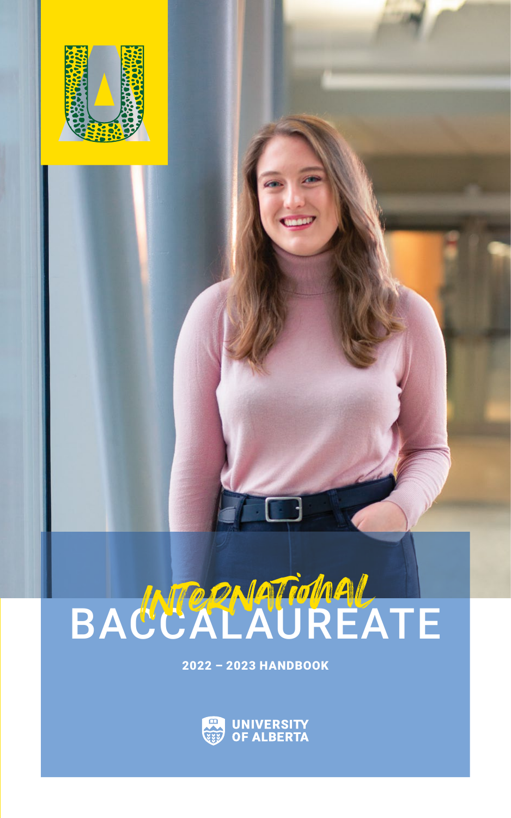

# BACCALAUREATE

2022 - 2023 HANDBOOK

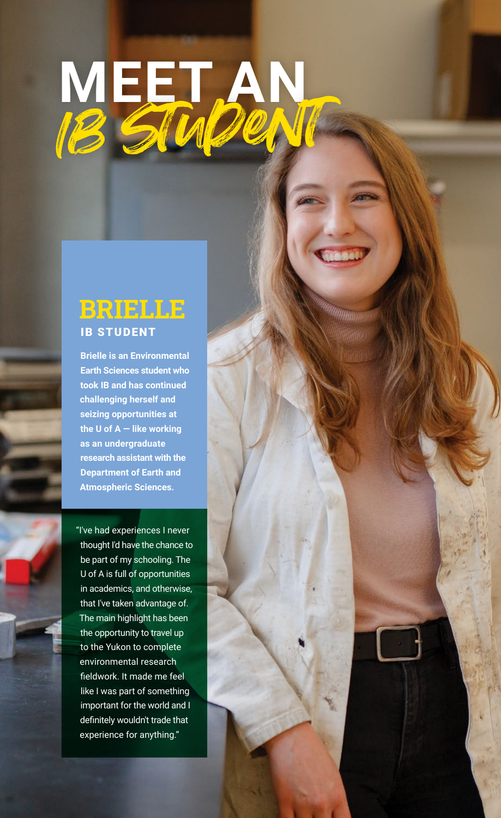# **MEET AN** Ib student

# **BRIELLE IB STUDENT**

**Brielle is an Environmental Earth Sciences student who took IB and has continued challenging herself and seizing opportunities at the U of A — like working as an undergraduate research assistant with the Department of Earth and Atmospheric Sciences.**

"I've had experiences I never thought I'd have the chance to be part of my schooling. The U of A is full of opportunities in academics, and otherwise, that I've taken advantage of. The main highlight has been the opportunity to travel up to the Yukon to complete environmental research fieldwork. It made me feel like I was part of something important for the world and I definitely wouldn't trade that experience for anything."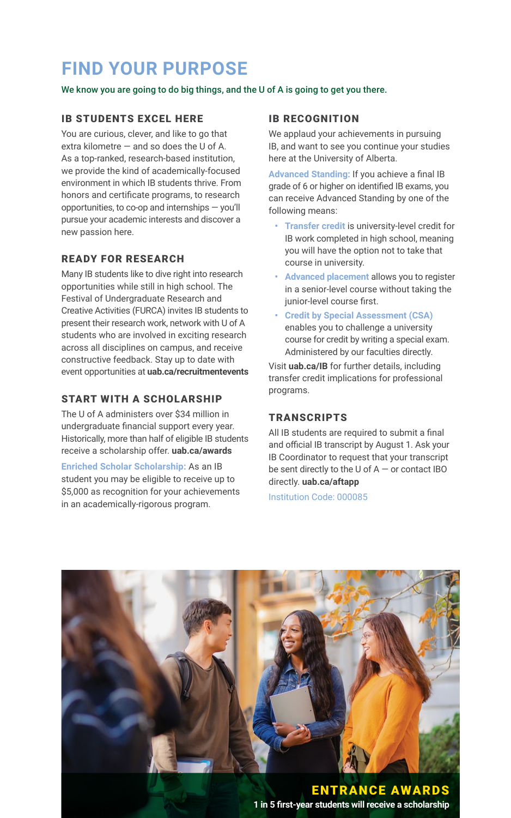# **FIND YOUR PURPOSE**

#### We know you are going to do big things, and the U of A is going to get you there.

# IB STUDENTS EXCEL HERE

You are curious, clever, and like to go that extra kilometre  $-$  and so does the U of A. As a top-ranked, research-based institution, we provide the kind of academically-focused environment in which IB students thrive. From honors and certificate programs, to research opportunities, to co-op and internships — you'll pursue your academic interests and discover a new passion here.

# READY FOR RESEARCH

Many IB students like to dive right into research opportunities while still in high school. The Festival of Undergraduate Research and Creative Activities (FURCA) invites IB students to present their research work, network with U of A students who are involved in exciting research across all disciplines on campus, and receive constructive feedback. Stay up to date with event opportunities at **uab.ca/recruitmentevents**

# START WITH A SCHOLARSHIP

The U of A administers over \$34 million in undergraduate financial support every year. Historically, more than half of eligible IB students receive a scholarship offer. **uab.ca/awards**

**Enriched Scholar Scholarship:** As an IB student you may be eligible to receive up to \$5,000 as recognition for your achievements in an academically-rigorous program.

# IB RECOGNITION

We applaud your achievements in pursuing IB, and want to see you continue your studies here at the University of Alberta.

**Advanced Standing:** If you achieve a final IB grade of 6 or higher on identified IB exams, you can receive Advanced Standing by one of the following means:

- **• Transfer credit** is university-level credit for IB work completed in high school, meaning you will have the option not to take that course in university.
- **• Advanced placement** allows you to register in a senior-level course without taking the junior-level course first.
- **• Credit by Special Assessment (CSA)** enables you to challenge a university course for credit by writing a special exam. Administered by our faculties directly.

Visit **uab.ca/IB** for further details, including transfer credit implications for professional programs.

# **TRANSCRIPTS**

All IB students are required to submit a final and official IB transcript by August 1. Ask your IB Coordinator to request that your transcript be sent directly to the U of A — or contact IBO directly. **uab.ca/aftapp**

Institution Code: 000085

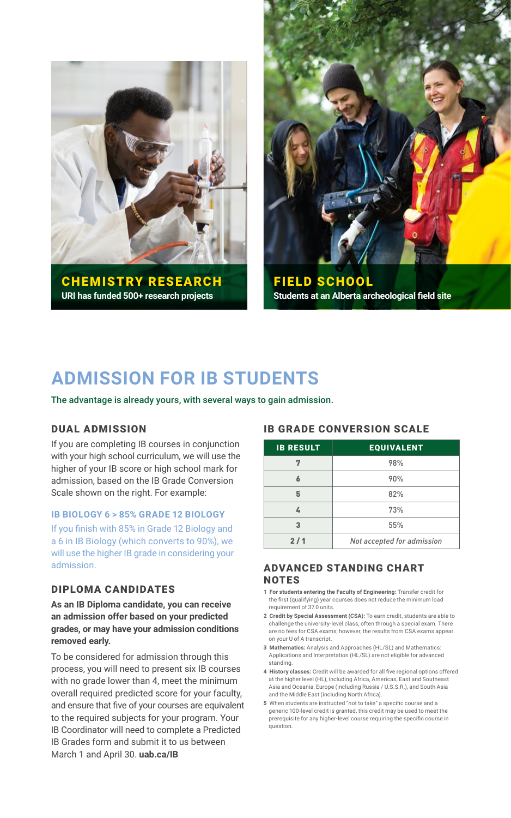



FIELD SCHOOL **Students at an Alberta archeological field site**

# **ADMISSION FOR IB STUDENTS**

The advantage is already yours, with several ways to gain admission.

# DUAL ADMISSION

If you are completing IB courses in conjunction with your high school curriculum, we will use the higher of your IB score or high school mark for admission, based on the IB Grade Conversion Scale shown on the right. For example:

#### **IB BIOLOGY 6 > 85% GRADE 12 BIOLOGY**

If you finish with 85% in Grade 12 Biology and a 6 in IB Biology (which converts to 90%), we will use the higher IB grade in considering your admission.

### DIPLOMA CANDIDATES

**As an IB Diploma candidate, you can receive an admission offer based on your predicted grades, or may have your admission conditions removed early.** 

To be considered for admission through this process, you will need to present six IB courses with no grade lower than 4, meet the minimum overall required predicted score for your faculty, and ensure that five of your courses are equivalent to the required subjects for your program. Your IB Coordinator will need to complete a Predicted IB Grades form and submit it to us between March 1 and April 30. **uab.ca/IB**

### IB GRADE CONVERSION SCALE

| <b>IB RESULT</b> | <b>EQUIVALENT</b>          |  |
|------------------|----------------------------|--|
|                  | 98%                        |  |
|                  | 90%                        |  |
| 5                | 82%                        |  |
|                  | 73%                        |  |
| ٩                | 55%                        |  |
| 2/1              | Not accepted for admission |  |

## ADVANCED STANDING CHART **NOTES**

- **1 For students entering the Faculty of Engineering:** Transfer credit for the first (qualifying) year courses does not reduce the minimum load requirement of 37.0 units.
- **2 Credit by Special Assessment (CSA):** To earn credit, students are able to challenge the university-level class, often through a special exam. There are no fees for CSA exams; however, the results from CSA exams appear on your U of A transcript.
- **3 Mathematics:** Analysis and Approaches (HL/SL) and Mathematics: Applications and Interpretation (HL/SL) are not eligible for advanced standing.
- **4 History classes:** Credit will be awarded for all five regional options offered at the higher level (HL), including Africa, Americas, East and Southeast Asia and Oceania, Europe (including Russia / U.S.S.R.), and South Asia and the Middle East (including North Africa).
- **5** When students are instructed "not to take" a specific course and a generic 100-level credit is granted, this credit may be used to meet the prerequisite for any higher‑level course requiring the specific course in question.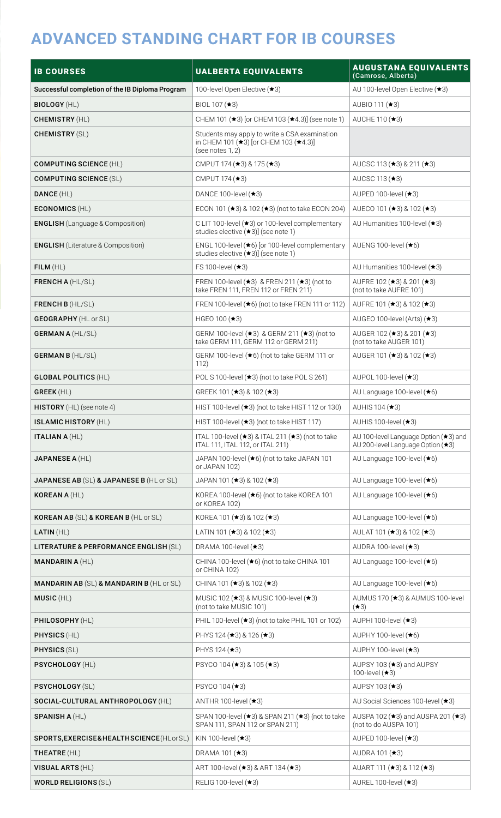# **ADVANCED STANDING CHART FOR IB COURSES**

| <b>IB COURSES</b>                                   | <b>UALBERTA EQUIVALENTS</b>                                                                                | AUGUSTANA EQUIVALENTS<br>(Camrose, Alberta)                                |
|-----------------------------------------------------|------------------------------------------------------------------------------------------------------------|----------------------------------------------------------------------------|
| Successful completion of the IB Diploma Program     | 100-level Open Elective (★3)                                                                               | AU 100-level Open Elective (★3)                                            |
| <b>BIOLOGY (HL)</b>                                 | BIOL 107 (★3)                                                                                              | AUBIO 111 (★3)                                                             |
| <b>CHEMISTRY (HL)</b>                               | CHEM 101 (★3) [or CHEM 103 (★4.3)] (see note 1)                                                            | AUCHE 110 (★3)                                                             |
| <b>CHEMISTRY (SL)</b>                               | Students may apply to write a CSA examination<br>in CHEM 101 (★3) [or CHEM 103 (★4.3)]<br>(see notes 1, 2) |                                                                            |
| <b>COMPUTING SCIENCE (HL)</b>                       | CMPUT 174 ( $\star$ 3) & 175 ( $\star$ 3)                                                                  | AUCSC 113 ( $\star$ 3) & 211 ( $\star$ 3)                                  |
| <b>COMPUTING SCIENCE (SL)</b>                       | CMPUT 174 (★3)                                                                                             | AUCSC 113 (★3)                                                             |
| DANCE (HL)                                          | DANCE 100-level $(*3)$                                                                                     | AUPED 100-level $(*3)$                                                     |
| <b>ECONOMICS (HL)</b>                               | ECON 101 (★3) & 102 (★3) (not to take ECON 204)                                                            | AUECO 101 ( $\star$ 3) & 102 ( $\star$ 3)                                  |
| <b>ENGLISH</b> (Language & Composition)             | C LIT 100-level (★3) or 100-level complementary<br>studies elective (*3)] (see note 1)                     | AU Humanities 100-level (★3)                                               |
| <b>ENGLISH</b> (Literature & Composition)           | ENGL 100-level (★6) [or 100-level complementary<br>studies elective (★3)] (see note 1)                     | AUENG 100-level $(*6)$                                                     |
| FILM(HL)                                            | FS 100-level (★3)                                                                                          | AU Humanities 100-level (★3)                                               |
| <b>FRENCH A (HL/SL)</b>                             | FREN 100-level $(\star 3)$ & FREN 211 $(\star 3)$ (not to<br>take FREN 111, FREN 112 or FREN 211)          | AUFRE 102 (★3) & 201 (★3)<br>(not to take AUFRE 101)                       |
| <b>FRENCH B (HL/SL)</b>                             | FREN 100-level (★6) (not to take FREN 111 or 112)                                                          | AUFRE 101 ( $\star$ 3) & 102 ( $\star$ 3)                                  |
| <b>GEOGRAPHY</b> (HL or SL)                         | HGEO 100 (★3)                                                                                              | AUGEO 100-level (Arts) $(*3)$                                              |
| <b>GERMAN A (HL/SL)</b>                             | GERM 100-level (★3) & GERM 211 (★3) (not to<br>take GERM 111, GERM 112 or GERM 211)                        | AUGER 102 (★3) & 201 (★3)<br>(not to take AUGER 101)                       |
| <b>GERMAN B (HL/SL)</b>                             | GERM 100-level (★6) (not to take GERM 111 or<br>112)                                                       | AUGER 101 (★3) & 102 (★3)                                                  |
| <b>GLOBAL POLITICS (HL)</b>                         | POL S 100-level (★3) (not to take POL S 261)                                                               | AUPOL 100-level $(*3)$                                                     |
| <b>GREEK</b> (HL)                                   | GREEK 101 (★3) & 102 (★3)                                                                                  | AU Language 100-level (★6)                                                 |
| <b>HISTORY</b> (HL) (see note 4)                    | HIST 100-level (★3) (not to take HIST 112 or 130)                                                          | AUHIS 104 (★3)                                                             |
| <b>ISLAMIC HISTORY (HL)</b>                         | HIST 100-level (★3) (not to take HIST 117)                                                                 | AUHIS 100-level $(*3)$                                                     |
| <b>ITALIAN A (HL)</b>                               | ITAL 100-level $(\star 3)$ & ITAL 211 $(\star 3)$ (not to take<br>ITAL 111, ITAL 112, or ITAL 211)         | AU 100-level Language Option (★3) and<br>AU 200-level Language Option (★3) |
| <b>JAPANESE A (HL)</b>                              | JAPAN 100-level (*6) (not to take JAPAN 101<br>or JAPAN 102)                                               | AU Language 100-level (★6)                                                 |
| <b>JAPANESE AB (SL) &amp; JAPANESE B (HL or SL)</b> | JAPAN 101 (★3) & 102 (★3)                                                                                  | AU Language 100-level (★6)                                                 |
| <b>KOREAN A (HL)</b>                                | KOREA 100-level (★6) (not to take KOREA 101<br>or KOREA 102)                                               | AU Language 100-level (★6)                                                 |
| KOREAN AB (SL) & KOREAN B (HL or SL)                | KOREA 101 (★3) & 102 (★3)                                                                                  | AU Language 100-level (★6)                                                 |
| LATIN(HL)                                           | LATIN 101 ( $\star$ 3) & 102 ( $\star$ 3)                                                                  | AULAT 101 ( $\star$ 3) & 102 ( $\star$ 3)                                  |
| LITERATURE & PERFORMANCE ENGLISH (SL)               | DRAMA 100-level $(*3)$                                                                                     | AUDRA 100-level $(*3)$                                                     |
| <b>MANDARIN A (HL)</b>                              | CHINA 100-level (★6) (not to take CHINA 101<br>or CHINA 102)                                               | AU Language 100-level (★6)                                                 |
| <b>MANDARIN AB (SL) &amp; MANDARIN B (HL or SL)</b> | CHINA 101 ( $\star$ 3) & 102 ( $\star$ 3)                                                                  | AU Language 100-level (★6)                                                 |
| MUSIC(HL)                                           | MUSIC 102 (★3) & MUSIC 100-level (★3)<br>(not to take MUSIC 101)                                           | AUMUS 170 (★3) & AUMUS 100-level<br>$(*3)$                                 |
| PHILOSOPHY (HL)                                     | PHIL 100-level (★3) (not to take PHIL 101 or 102)                                                          | AUPHI 100-level (★3)                                                       |
| <b>PHYSICS (HL)</b>                                 | PHYS 124 $(*3)$ & 126 $(*3)$                                                                               | AUPHY 100-level $(\star 6)$                                                |
| <b>PHYSICS (SL)</b>                                 | PHYS 124 (★3)                                                                                              | AUPHY 100-level (★3)                                                       |
| PSYCHOLOGY (HL)                                     | PSYCO 104 (★3) & 105 (★3)                                                                                  | AUPSY 103 (★3) and AUPSY<br>100-level (★3)                                 |
| PSYCHOLOGY (SL)                                     | PSYCO 104 (★3)                                                                                             | AUPSY 103 (★3)                                                             |
| SOCIAL-CULTURAL ANTHROPOLOGY (HL)                   | ANTHR 100-level $(*3)$                                                                                     | AU Social Sciences 100-level (★3)                                          |
| <b>SPANISH A (HL)</b>                               | SPAN 100-level (★3) & SPAN 211 (★3) (not to take<br>SPAN 111, SPAN 112 or SPAN 211)                        | AUSPA 102 ( $\star$ 3) and AUSPA 201 ( $\star$ 3)<br>(not to do AUSPA 101) |
| SPORTS, EXERCISE& HEALTHSCIENCE (HLorSL)            | KIN 100-level $(*3)$                                                                                       | AUPED 100-level (★3)                                                       |
| THEATRE (HL)                                        | DRAMA 101 (★3)                                                                                             | AUDRA 101 (★3)                                                             |
| VISUAL ARTS (HL)                                    | ART 100-level (★3) & ART 134 (★3)                                                                          | AUART 111 ( $\star$ 3) & 112 ( $\star$ 3)                                  |
| <b>WORLD RELIGIONS (SL)</b>                         | RELIG 100-level $(*3)$                                                                                     | AUREL 100-level $(*3)$                                                     |